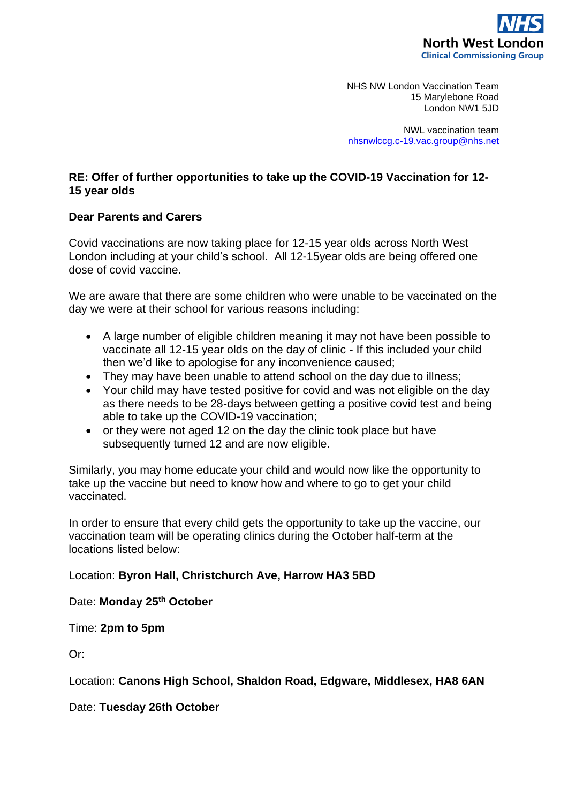

NHS NW London Vaccination Team 15 Marylebone Road London NW1 5JD

NWL vaccination team [nhsnwlccg.c-19.vac.group@nhs.net](mailto:nhsnwlccg.c-19.vac.group@nhs.net)

## **RE: Offer of further opportunities to take up the COVID-19 Vaccination for 12- 15 year olds**

## **Dear Parents and Carers**

Covid vaccinations are now taking place for 12-15 year olds across North West London including at your child's school. All 12-15year olds are being offered one dose of covid vaccine.

We are aware that there are some children who were unable to be vaccinated on the day we were at their school for various reasons including:

- A large number of eligible children meaning it may not have been possible to vaccinate all 12-15 year olds on the day of clinic - If this included your child then we'd like to apologise for any inconvenience caused;
- They may have been unable to attend school on the day due to illness;
- Your child may have tested positive for covid and was not eligible on the day as there needs to be 28-days between getting a positive covid test and being able to take up the COVID-19 vaccination;
- or they were not aged 12 on the day the clinic took place but have subsequently turned 12 and are now eligible.

Similarly, you may home educate your child and would now like the opportunity to take up the vaccine but need to know how and where to go to get your child vaccinated.

In order to ensure that every child gets the opportunity to take up the vaccine, our vaccination team will be operating clinics during the October half-term at the locations listed below:

## Location: **Byron Hall, Christchurch Ave, Harrow HA3 5BD**

Date: **Monday 25th October** 

Time: **2pm to 5pm**

Or:

Location: **Canons High School, Shaldon Road, Edgware, Middlesex, HA8 6AN**

Date: **Tuesday 26th October**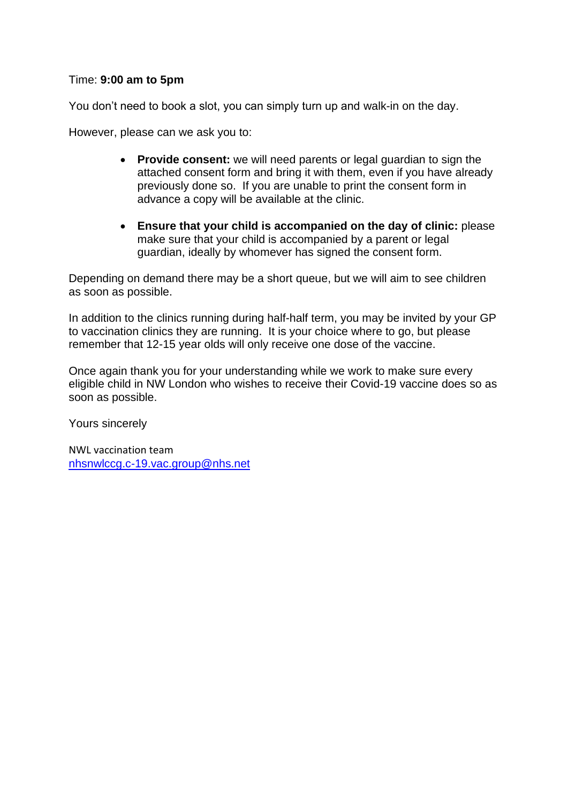## Time: **9:00 am to 5pm**

You don't need to book a slot, you can simply turn up and walk-in on the day.

However, please can we ask you to:

- **Provide consent:** we will need parents or legal guardian to sign the attached consent form and bring it with them, even if you have already previously done so. If you are unable to print the consent form in advance a copy will be available at the clinic.
- **Ensure that your child is accompanied on the day of clinic:** please make sure that your child is accompanied by a parent or legal guardian, ideally by whomever has signed the consent form.

Depending on demand there may be a short queue, but we will aim to see children as soon as possible.

In addition to the clinics running during half-half term, you may be invited by your GP to vaccination clinics they are running. It is your choice where to go, but please remember that 12-15 year olds will only receive one dose of the vaccine.

Once again thank you for your understanding while we work to make sure every eligible child in NW London who wishes to receive their Covid-19 vaccine does so as soon as possible.

Yours sincerely

NWL vaccination team [nhsnwlccg.c-19.vac.group@nhs.net](mailto:nhsnwlccg.c-19.vac.group@nhs.net)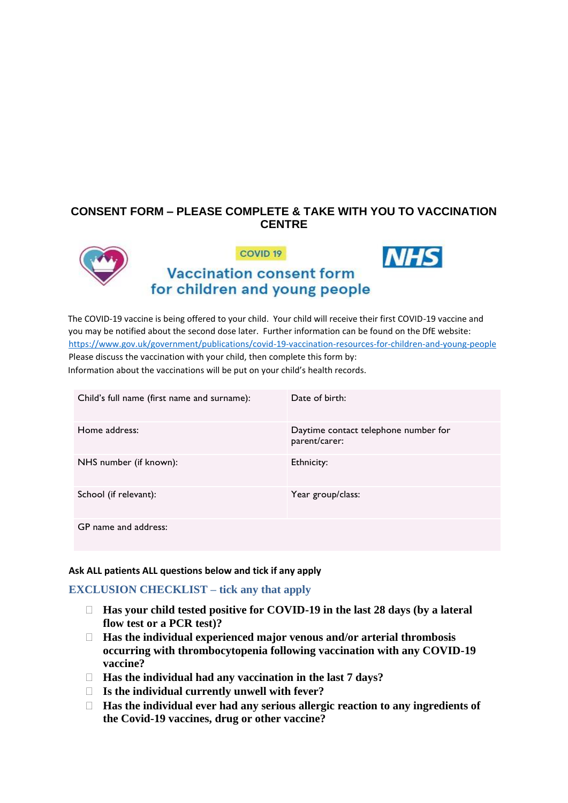# **CONSENT FORM – PLEASE COMPLETE & TAKE WITH YOU TO VACCINATION CENTRE**



The COVID-19 vaccine is being offered to your child. Your child will receive their first COVID-19 vaccine and you may be notified about the second dose later. Further information can be found on the DfE website: <https://www.gov.uk/government/publications/covid-19-vaccination-resources-for-children-and-young-people> Please discuss the vaccination with your child, then complete this form by: Information about the vaccinations will be put on your child's health records.

| Child's full name (first name and surname): | Date of birth:                                        |
|---------------------------------------------|-------------------------------------------------------|
| Home address:                               | Daytime contact telephone number for<br>parent/carer: |
| NHS number (if known):                      | Ethnicity:                                            |
| School (if relevant):                       | Year group/class:                                     |
| GP name and address:                        |                                                       |

#### **Ask ALL patients ALL questions below and tick if any apply**

### **EXCLUSION CHECKLIST – tick any that apply**

- **Has your child tested positive for COVID-19 in the last 28 days (by a lateral flow test or a PCR test)?**
- **Has the individual experienced major venous and/or arterial thrombosis occurring with thrombocytopenia following vaccination with any COVID-19 vaccine?**
- **Has the individual had any vaccination in the last 7 days?**
- **Is the individual currently unwell with fever?**
- **Has the individual ever had any serious allergic reaction to any ingredients of the Covid-19 vaccines, drug or other vaccine?**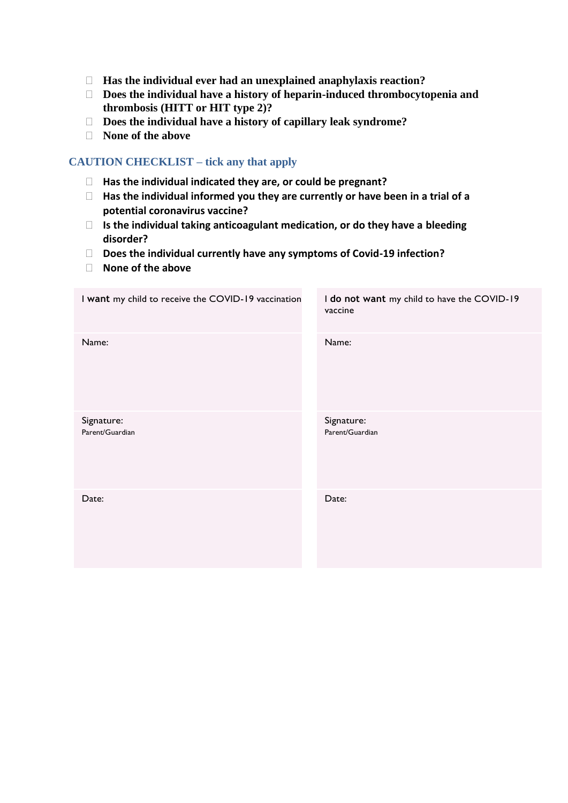- **Has the individual ever had an unexplained anaphylaxis reaction?**
- **Does the individual have a history of heparin-induced thrombocytopenia and thrombosis (HITT or HIT type 2)?**
- **Does the individual have a history of capillary leak syndrome?**
- **None of the above**

## **CAUTION CHECKLIST – tick any that apply**

- **Has the individual indicated they are, or could be pregnant?**
- **Has the individual informed you they are currently or have been in a trial of a potential coronavirus vaccine?**
- **Is the individual taking anticoagulant medication, or do they have a bleeding disorder?**
- **Does the individual currently have any symptoms of Covid-19 infection?**
- **None of the above**

| I want my child to receive the COVID-19 vaccination | I do not want my child to have the COVID-19<br>vaccine |
|-----------------------------------------------------|--------------------------------------------------------|
| Name:                                               | Name:                                                  |
| Signature:<br>Parent/Guardian                       | Signature:<br>Parent/Guardian                          |
| Date:                                               | Date:                                                  |